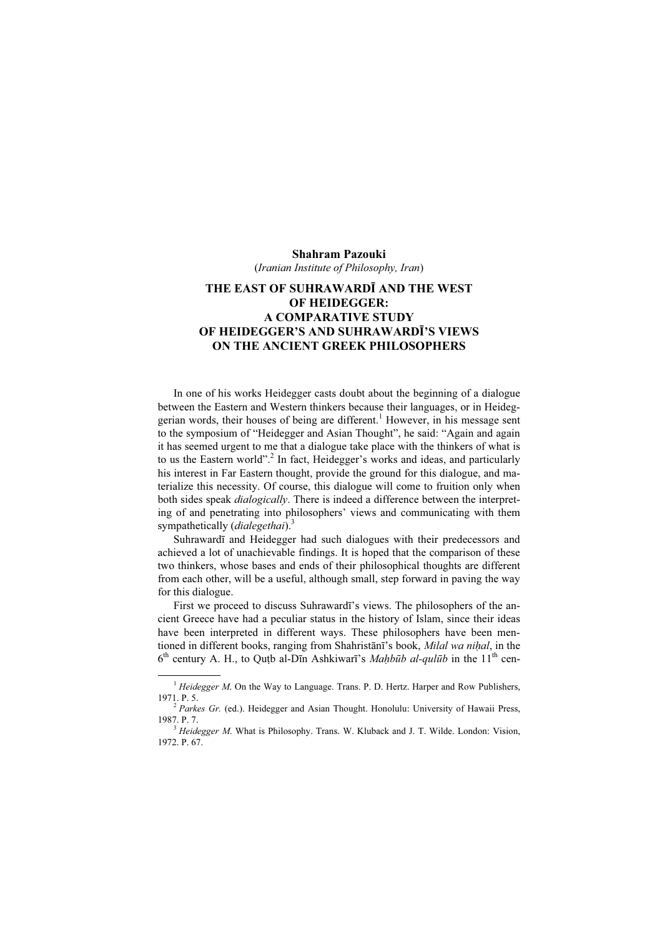## Shahram Pazouki

(Iranian Institute of Philosophy, Iran)

## THE EAST OF SUHRAWARDĪ AND THE WEST OF HEIDEGGER: A COMPARATIVE STUDY OF HEIDEGGER'S AND SUHRAWARDĪ'S VIEWS ON THE ANCIENT GREEK PHILOSOPHERS

In one of his works Heidegger casts doubt about the beginning of a dialogue between the Eastern and Western thinkers because their languages, or in Heideggerian words, their houses of being are different.<sup>1</sup> However, in his message sent to the symposium of "Heidegger and Asian Thought", he said: "Again and again it has seemed urgent to me that a dialogue take place with the thinkers of what is to us the Eastern world".<sup>2</sup> In fact, Heidegger's works and ideas, and particularly his interest in Far Eastern thought, provide the ground for this dialogue, and materialize this necessity. Of course, this dialogue will come to fruition only when both sides speak *dialogically*. There is indeed a difference between the interpreting of and penetrating into philosophers' views and communicating with them sympathetically (dialegethai).<sup>3</sup>

Suhrawardī and Heidegger had such dialogues with their predecessors and achieved a lot of unachievable findings. It is hoped that the comparison of these two thinkers, whose bases and ends of their philosophical thoughts are different from each other, will be a useful, although small, step forward in paving the way for this dialogue.

First we proceed to discuss Suhrawardī's views. The philosophers of the ancient Greece have had a peculiar status in the history of Islam, since their ideas have been interpreted in different ways. These philosophers have been mentioned in different books, ranging from Shahristānī's book, Milal wa nihal, in the  $6<sup>th</sup>$  century A. H., to Qutb al-Dīn Ashkiwarī's *Mahbūb al-qulūb* in the 11<sup>th</sup> cen-

<sup>&</sup>lt;sup>1</sup> Heidegger M. On the Way to Language. Trans. P. D. Hertz. Harper and Row Publishers, 1971. P. 5.

 $^{2}$  Parkes Gr. (ed.). Heidegger and Asian Thought. Honolulu: University of Hawaii Press, 1987. P. 7.  $\frac{3}{16}$  Heidegger M. What is Philosophy. Trans. W. Kluback and J. T. Wilde. London: Vision,

<sup>1972.</sup> P. 67.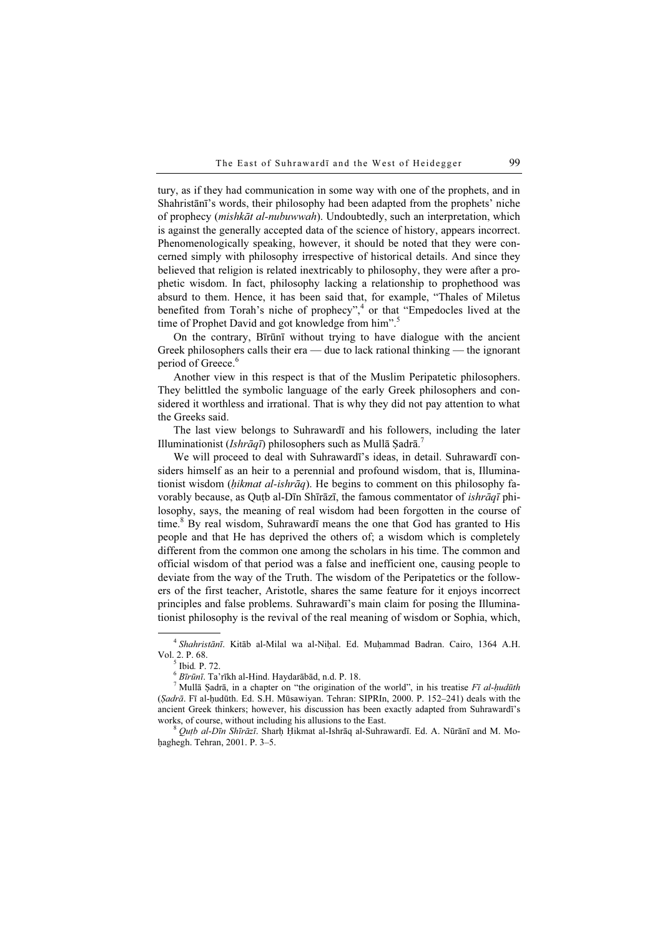tury, as if they had communication in some way with one of the prophets, and in Shahristānī's words, their philosophy had been adapted from the prophets' niche of prophecy (mishkāt al-nubuwwah). Undoubtedly, such an interpretation, which is against the generally accepted data of the science of history, appears incorrect. Phenomenologically speaking, however, it should be noted that they were concerned simply with philosophy irrespective of historical details. And since they believed that religion is related inextricably to philosophy, they were after a prophetic wisdom. In fact, philosophy lacking a relationship to prophethood was absurd to them. Hence, it has been said that, for example, "Thales of Miletus benefited from Torah's niche of prophecy",<sup>4</sup> or that "Empedocles lived at the time of Prophet David and got knowledge from him".<sup>5</sup>

On the contrary, Bīrūnī without trying to have dialogue with the ancient Greek philosophers calls their era — due to lack rational thinking — the ignorant period of Greece.<sup>6</sup>

Another view in this respect is that of the Muslim Peripatetic philosophers. They belittled the symbolic language of the early Greek philosophers and considered it worthless and irrational. That is why they did not pay attention to what the Greeks said.

The last view belongs to Suhrawardī and his followers, including the later Illuminationist (*Ishrāqī*) philosophers such as Mullā Şadrā.<sup>7</sup>

We will proceed to deal with Suhrawardī's ideas, in detail. Suhrawardī considers himself as an heir to a perennial and profound wisdom, that is, Illuminationist wisdom (hikmat al-ishrāq). He begins to comment on this philosophy favorably because, as Outb al-Dīn Shīrāzī, the famous commentator of *ishrāqī* philosophy, says, the meaning of real wisdom had been forgotten in the course of time.<sup>8</sup> By real wisdom, Suhrawardī means the one that God has granted to His people and that He has deprived the others of; a wisdom which is completely different from the common one among the scholars in his time. The common and official wisdom of that period was a false and inefficient one, causing people to deviate from the way of the Truth. The wisdom of the Peripatetics or the followers of the first teacher, Aristotle, shares the same feature for it enjoys incorrect principles and false problems. Suhrawardī's main claim for posing the Illuminationist philosophy is the revival of the real meaning of wisdom or Sophia, which,

 $^4$  Shahristānī. Kitāb al-Milal wa al-Nihal. Ed. Muhammad Badran. Cairo, 1364 A.H. Vol. 2. P. 68.  $\frac{5}{100}$  Ibid. P. 72.  $\frac{6}{100}$  Bīrūnī. Ta'rīkh al-Hind. Haydarābād, n.d. P. 18.

Mullā Sadrā, in a chapter on "the origination of the world", in his treatise  $F\bar{\iota}$  al-hudūth (Ṣadrā. Fī al-ḥudūth. Ed. S.H. Mūsawiyan. Tehran: SIPRIn, 2000. P. 152–241) deals with the ancient Greek thinkers; however, his discussion has been exactly adapted from Suhrawardī's works, of course, without including his allusions to the East.<br><sup>8</sup> *Outb al-Dīn Shīrāzī*. Sharḥ Ḥikmat al-Ishrāq al-Suhrawardī. Ed. A. Nūrānī and M. Mo-

haghegh. Tehran, 2001. P. 3-5.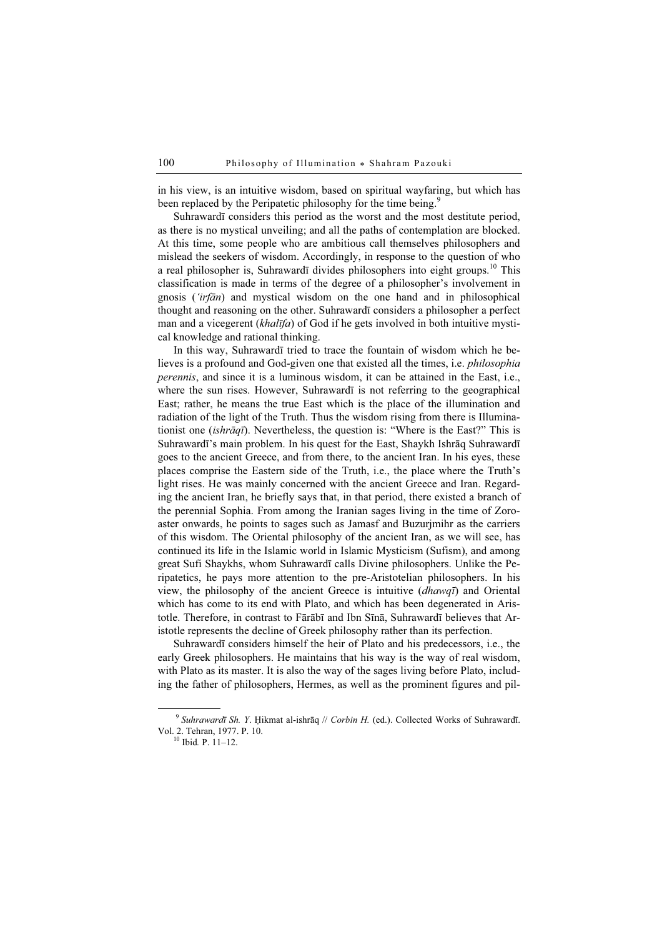in his view, is an intuitive wisdom, based on spiritual wayfaring, but which has been replaced by the Peripatetic philosophy for the time being.<sup>9</sup>

Suhrawardī considers this period as the worst and the most destitute period, as there is no mystical unveiling; and all the paths of contemplation are blocked. At this time, some people who are ambitious call themselves philosophers and mislead the seekers of wisdom. Accordingly, in response to the question of who a real philosopher is, Suhrawardī divides philosophers into eight groups.<sup>10</sup> This classification is made in terms of the degree of a philosopher's involvement in gnosis ('irfān) and mystical wisdom on the one hand and in philosophical thought and reasoning on the other. Suhrawardī considers a philosopher a perfect man and a vicegerent *(khalīfa)* of God if he gets involved in both intuitive mystical knowledge and rational thinking.

In this way, Suhrawardī tried to trace the fountain of wisdom which he believes is a profound and God-given one that existed all the times, i.e. philosophia perennis, and since it is a luminous wisdom, it can be attained in the East, i.e., where the sun rises. However, Suhrawardī is not referring to the geographical East; rather, he means the true East which is the place of the illumination and radiation of the light of the Truth. Thus the wisdom rising from there is Illuminationist one (ishrāqī). Nevertheless, the question is: "Where is the East?" This is Suhrawardī's main problem. In his quest for the East, Shaykh Ishrāq Suhrawardī goes to the ancient Greece, and from there, to the ancient Iran. In his eyes, these places comprise the Eastern side of the Truth, i.e., the place where the Truth's light rises. He was mainly concerned with the ancient Greece and Iran. Regarding the ancient Iran, he briefly says that, in that period, there existed a branch of the perennial Sophia. From among the Iranian sages living in the time of Zoroaster onwards, he points to sages such as Jamasf and Buzurjmihr as the carriers of this wisdom. The Oriental philosophy of the ancient Iran, as we will see, has continued its life in the Islamic world in Islamic Mysticism (Sufism), and among great Sufi Shaykhs, whom Suhrawardī calls Divine philosophers. Unlike the Peripatetics, he pays more attention to the pre-Aristotelian philosophers. In his view, the philosophy of the ancient Greece is intuitive  $(dhawq\vec{\tau})$  and Oriental which has come to its end with Plato, and which has been degenerated in Aristotle. Therefore, in contrast to Fārābī and Ibn Sīnā, Suhrawardī believes that Aristotle represents the decline of Greek philosophy rather than its perfection.

Suhrawardī considers himself the heir of Plato and his predecessors, i.e., the early Greek philosophers. He maintains that his way is the way of real wisdom, with Plato as its master. It is also the way of the sages living before Plato, including the father of philosophers, Hermes, as well as the prominent figures and pil-

 $9$  Suhrawardī Sh. Y. Hikmat al-ishrāq // Corbin H. (ed.). Collected Works of Suhrawardī. Vol. 2. Tehran, 1977. P. 10.<br><sup>10</sup> Ibid. P. 11–12.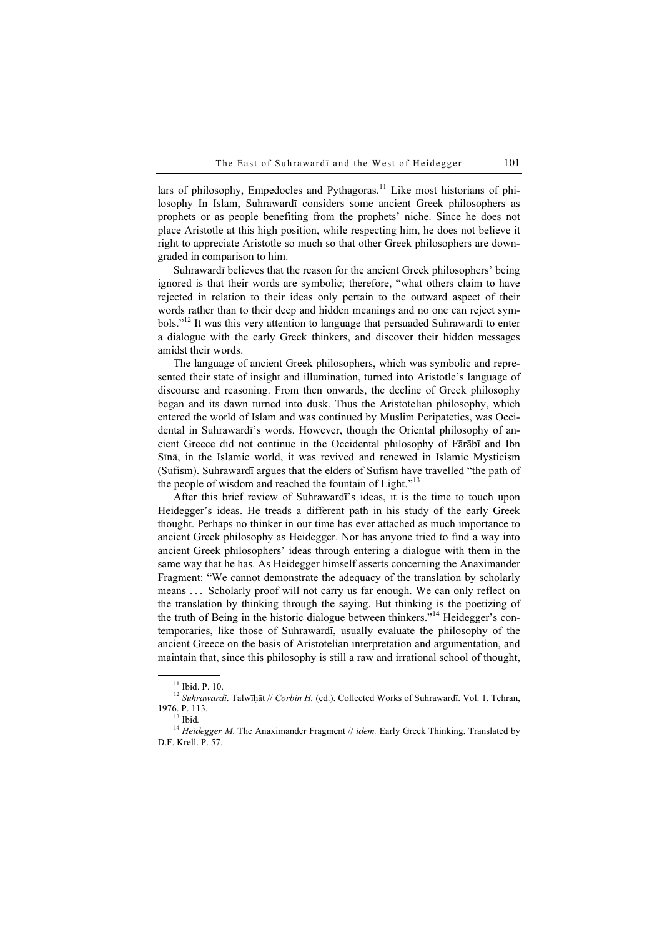lars of philosophy, Empedocles and Pythagoras.<sup>11</sup> Like most historians of philosophy In Islam, Suhrawardī considers some ancient Greek philosophers as prophets or as people benefiting from the prophets' niche. Since he does not place Aristotle at this high position, while respecting him, he does not believe it right to appreciate Aristotle so much so that other Greek philosophers are downgraded in comparison to him.

Suhrawardī believes that the reason for the ancient Greek philosophers' being ignored is that their words are symbolic; therefore, "what others claim to have rejected in relation to their ideas only pertain to the outward aspect of their words rather than to their deep and hidden meanings and no one can reject symbols."<sup>12</sup> It was this very attention to language that persuaded Suhrawardī to enter a dialogue with the early Greek thinkers, and discover their hidden messages amidst their words.

The language of ancient Greek philosophers, which was symbolic and represented their state of insight and illumination, turned into Aristotle's language of discourse and reasoning. From then onwards, the decline of Greek philosophy began and its dawn turned into dusk. Thus the Aristotelian philosophy, which entered the world of Islam and was continued by Muslim Peripatetics, was Occidental in Suhrawardī's words. However, though the Oriental philosophy of ancient Greece did not continue in the Occidental philosophy of Fārābī and Ibn Sīnā, in the Islamic world, it was revived and renewed in Islamic Mysticism (Sufism). Suhrawardī argues that the elders of Sufism have travelled "the path of the people of wisdom and reached the fountain of Light." $13$ 

After this brief review of Suhrawardī's ideas, it is the time to touch upon Heidegger's ideas. He treads a different path in his study of the early Greek thought. Perhaps no thinker in our time has ever attached as much importance to ancient Greek philosophy as Heidegger. Nor has anyone tried to find a way into ancient Greek philosophers' ideas through entering a dialogue with them in the same way that he has. As Heidegger himself asserts concerning the Anaximander Fragment: "We cannot demonstrate the adequacy of the translation by scholarly means . . . Scholarly proof will not carry us far enough. We can only reflect on the translation by thinking through the saying. But thinking is the poetizing of the truth of Being in the historic dialogue between thinkers."<sup>14</sup> Heidegger's contemporaries, like those of Suhrawardī, usually evaluate the philosophy of the ancient Greece on the basis of Aristotelian interpretation and argumentation, and maintain that, since this philosophy is still a raw and irrational school of thought,

<sup>&</sup>lt;sup>11</sup> Ibid. P. 10.<br><sup>12</sup> Suhrawardī. Talwīḥāt // Corbin H. (ed.). Collected Works of Suhrawardī. Vol. 1. Tehran, 1976. P. 113.

<sup>&</sup>lt;sup>13</sup> Ibid.<br><sup>14</sup> Heidegger M. The Anaximander Fragment // idem. Early Greek Thinking. Translated by D.F. Krell. P. 57.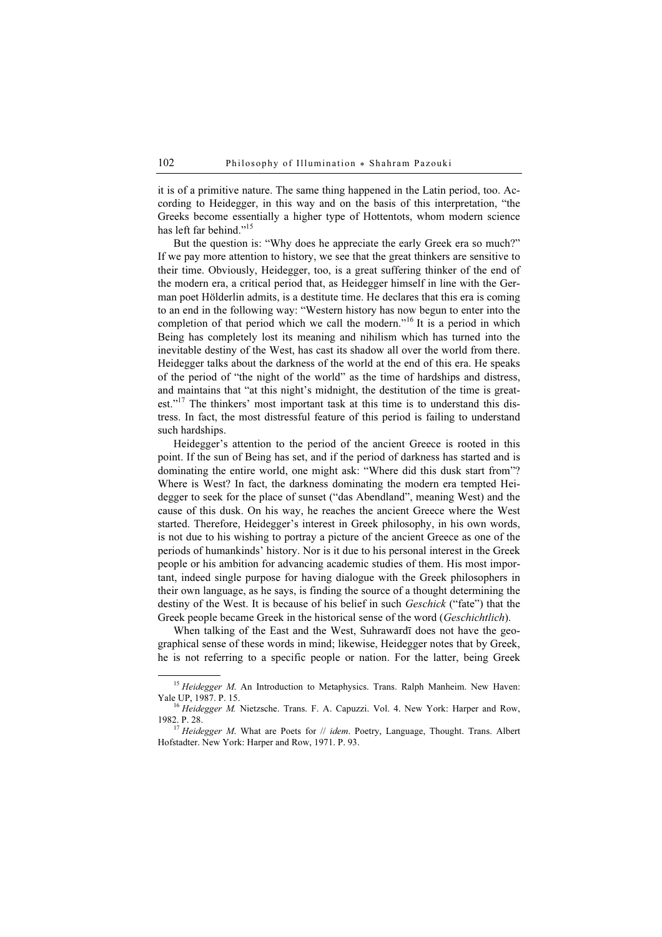it is of a primitive nature. The same thing happened in the Latin period, too. According to Heidegger, in this way and on the basis of this interpretation, "the Greeks become essentially a higher type of Hottentots, whom modern science has left far behind."<sup>15</sup>

But the question is: "Why does he appreciate the early Greek era so much?" If we pay more attention to history, we see that the great thinkers are sensitive to their time. Obviously, Heidegger, too, is a great suffering thinker of the end of the modern era, a critical period that, as Heidegger himself in line with the German poet Hölderlin admits, is a destitute time. He declares that this era is coming to an end in the following way: "Western history has now begun to enter into the completion of that period which we call the modern."<sup>16</sup> It is a period in which Being has completely lost its meaning and nihilism which has turned into the inevitable destiny of the West, has cast its shadow all over the world from there. Heidegger talks about the darkness of the world at the end of this era. He speaks of the period of "the night of the world" as the time of hardships and distress, and maintains that "at this night's midnight, the destitution of the time is greatest."<sup>17</sup> The thinkers' most important task at this time is to understand this distress. In fact, the most distressful feature of this period is failing to understand such hardships.

Heidegger's attention to the period of the ancient Greece is rooted in this point. If the sun of Being has set, and if the period of darkness has started and is dominating the entire world, one might ask: "Where did this dusk start from"? Where is West? In fact, the darkness dominating the modern era tempted Heidegger to seek for the place of sunset ("das Abendland", meaning West) and the cause of this dusk. On his way, he reaches the ancient Greece where the West started. Therefore, Heidegger's interest in Greek philosophy, in his own words, is not due to his wishing to portray a picture of the ancient Greece as one of the periods of humankinds' history. Nor is it due to his personal interest in the Greek people or his ambition for advancing academic studies of them. His most important, indeed single purpose for having dialogue with the Greek philosophers in their own language, as he says, is finding the source of a thought determining the destiny of the West. It is because of his belief in such *Geschick* ("fate") that the Greek people became Greek in the historical sense of the word (Geschichtlich).

When talking of the East and the West, Suhrawardī does not have the geographical sense of these words in mind; likewise, Heidegger notes that by Greek, he is not referring to a specific people or nation. For the latter, being Greek

<sup>&</sup>lt;sup>15</sup> Heidegger M. An Introduction to Metaphysics. Trans. Ralph Manheim. New Haven: Yale UP, 1987. P. 15.

 $16$  Heidegger M. Nietzsche. Trans. F. A. Capuzzi. Vol. 4. New York: Harper and Row, 1982. P. 28.<br><sup>17</sup> Heidegger M. What are Poets for // idem. Poetry, Language, Thought. Trans. Albert

Hofstadter. New York: Harper and Row, 1971. P. 93.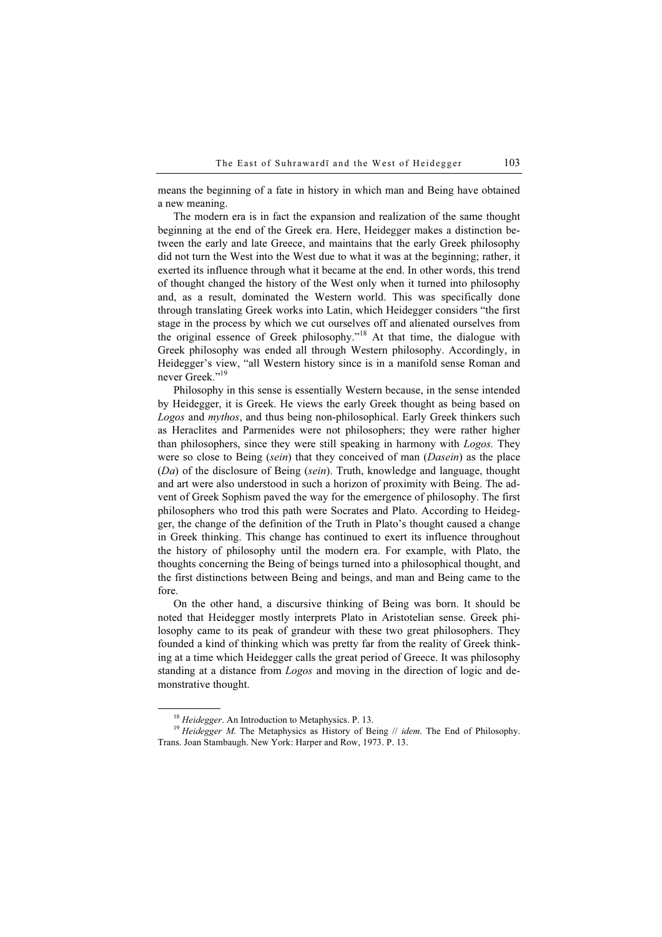means the beginning of a fate in history in which man and Being have obtained a new meaning.

The modern era is in fact the expansion and realization of the same thought beginning at the end of the Greek era. Here, Heidegger makes a distinction between the early and late Greece, and maintains that the early Greek philosophy did not turn the West into the West due to what it was at the beginning; rather, it exerted its influence through what it became at the end. In other words, this trend of thought changed the history of the West only when it turned into philosophy and, as a result, dominated the Western world. This was specifically done through translating Greek works into Latin, which Heidegger considers "the first stage in the process by which we cut ourselves off and alienated ourselves from the original essence of Greek philosophy."<sup>18</sup> At that time, the dialogue with Greek philosophy was ended all through Western philosophy. Accordingly, in Heidegger's view, "all Western history since is in a manifold sense Roman and never Greek<sup>"19</sup>

Philosophy in this sense is essentially Western because, in the sense intended by Heidegger, it is Greek. He views the early Greek thought as being based on Logos and mythos, and thus being non-philosophical. Early Greek thinkers such as Heraclites and Parmenides were not philosophers; they were rather higher than philosophers, since they were still speaking in harmony with Logos. They were so close to Being (sein) that they conceived of man (Dasein) as the place (Da) of the disclosure of Being (sein). Truth, knowledge and language, thought and art were also understood in such a horizon of proximity with Being. The advent of Greek Sophism paved the way for the emergence of philosophy. The first philosophers who trod this path were Socrates and Plato. According to Heidegger, the change of the definition of the Truth in Plato's thought caused a change in Greek thinking. This change has continued to exert its influence throughout the history of philosophy until the modern era. For example, with Plato, the thoughts concerning the Being of beings turned into a philosophical thought, and the first distinctions between Being and beings, and man and Being came to the fore.

On the other hand, a discursive thinking of Being was born. It should be noted that Heidegger mostly interprets Plato in Aristotelian sense. Greek philosophy came to its peak of grandeur with these two great philosophers. They founded a kind of thinking which was pretty far from the reality of Greek thinking at a time which Heidegger calls the great period of Greece. It was philosophy standing at a distance from Logos and moving in the direction of logic and demonstrative thought.

<sup>&</sup>lt;sup>18</sup> Heidegger. An Introduction to Metaphysics. P. 13.<br><sup>19</sup> Heidegger M. The Metaphysics as History of Being // idem. The End of Philosophy. Trans. Joan Stambaugh. New York: Harper and Row, 1973. P. 13.